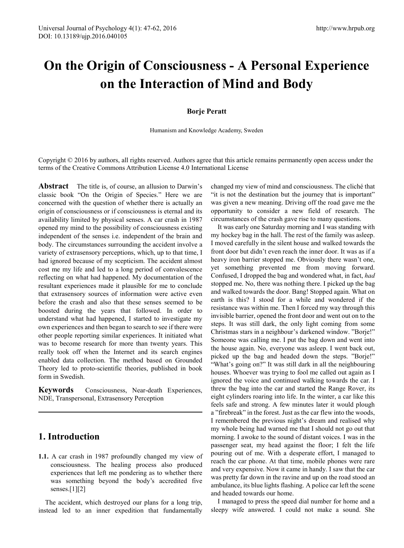# **On the Origin of Consciousness - A Personal Experience on the Interaction of Mind and Body**

# **Borje Peratt**

Humanism and Knowledge Academy, Sweden

Copyright © 2016 by authors, all rights reserved. Authors agree that this article remains permanently open access under the terms of the Creative Commons Attribution License 4.0 International License

**Abstract** The title is, of course, an allusion to Darwin's classic book "On the Origin of Species." Here we are concerned with the question of whether there is actually an origin of consciousness or if consciousness is eternal and its availability limited by physical senses. A car crash in 1987 opened my mind to the possibility of consciousness existing independent of the senses i.e. independent of the brain and body. The circumstances surrounding the accident involve a variety of extrasensory perceptions, which, up to that time, I had ignored because of my scepticism. The accident almost cost me my life and led to a long period of convalescence reflecting on what had happened. My documentation of the resultant experiences made it plausible for me to conclude that extrasensory sources of information were active even before the crash and also that these senses seemed to be boosted during the years that followed. In order to understand what had happened, I started to investigate my own experiences and then began to search to see if there were other people reporting similar experiences. It initiated what was to become research for more than twenty years. This really took off when the Internet and its search engines enabled data collection. The method based on Grounded Theory led to proto-scientific theories, published in book form in Swedish.

**Keywords** Consciousness, Near-death Experiences, NDE, Transpersonal, Extrasensory Perception

# **1. Introduction**

**1.1.** A car crash in 1987 profoundly changed my view of consciousness. The healing process also produced experiences that left me pondering as to whether there was something beyond the body's accredited five senses. $[1][2]$ 

The accident, which destroyed our plans for a long trip, instead led to an inner expedition that fundamentally

changed my view of mind and consciousness. The cliché that "it is not the destination but the journey that is important" was given a new meaning. Driving off the road gave me the opportunity to consider a new field of research. The circumstances of the crash gave rise to many questions.

It was early one Saturday morning and I was standing with my hockey bag in the hall. The rest of the family was asleep. I moved carefully in the silent house and walked towards the front door but didn't even reach the inner door. It was as if a heavy iron barrier stopped me. Obviously there wasn't one, yet something prevented me from moving forward. Confused, I dropped the bag and wondered what, in fact, *had*  stopped me. No, there was nothing there. I picked up the bag and walked towards the door. Bang! Stopped again. What on earth is this? I stood for a while and wondered if the resistance was within me. Then I forced my way through this invisible barrier, opened the front door and went out on to the steps. It was still dark, the only light coming from some Christmas stars in a neighbour's darkened window. "Borje!" Someone was calling me. I put the bag down and went into the house again. No, everyone was asleep. I went back out, picked up the bag and headed down the steps. "Borje!" "What's going on?" It was still dark in all the neighbouring houses. Whoever was trying to fool me called out again as I ignored the voice and continued walking towards the car. I threw the bag into the car and started the Range Rover, its eight cylinders roaring into life. In the winter, a car like this feels safe and strong. A few minutes later it would plough a "firebreak" in the forest. Just as the car flew into the woods, I remembered the previous night's dream and realised why my whole being had warned me that I should not go out that morning. I awoke to the sound of distant voices. I was in the passenger seat, my head against the floor; I felt the life pouring out of me. With a desperate effort, I managed to reach the car phone. At that time, mobile phones were rare and very expensive. Now it came in handy. I saw that the car was pretty far down in the ravine and up on the road stood an ambulance, its blue lights flashing. A police car left the scene and headed towards our home.

I managed to press the speed dial number for home and a sleepy wife answered. I could not make a sound. She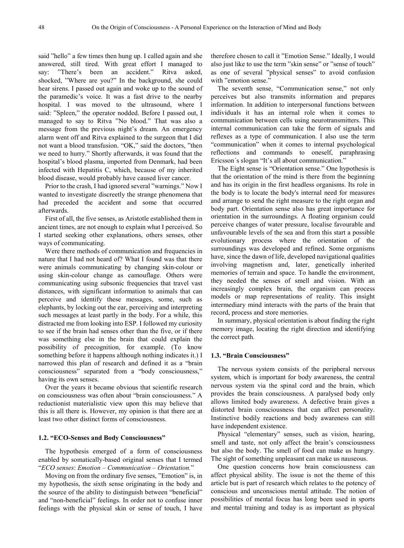said "hello" a few times then hung up. I called again and she answered, still tired. With great effort I managed to say: "There's been an accident." Ritva asked, shocked, "Where are you?" In the background, she could hear sirens. I passed out again and woke up to the sound of the paramedic's voice. It was a fast drive to the nearby hospital. I was moved to the ultrasound, where I said: "Spleen," the operator nodded. Before I passed out, I managed to say to Ritva "No blood." That was also a message from the previous night's dream. An emergency alarm went off and Ritva explained to the surgeon that I did not want a blood transfusion. "OK," said the doctors, "then we need to hurry." Shortly afterwards, it was found that the hospital's blood plasma, imported from Denmark, had been infected with Hepatitis C, which, because of my inherited blood disease, would probably have caused liver cancer.

Prior to the crash, I had ignored several "warnings." Now I wanted to investigate discreetly the strange phenomena that had preceded the accident and some that occurred afterwards.

First of all, the five senses, as Aristotle established them in ancient times, are not enough to explain what I perceived. So I started seeking other explanations, others senses, other ways of communicating.

Were there methods of communication and frequencies in nature that I had not heard of? What I found was that there were animals communicating by changing skin-colour or using skin-colour change as camouflage. Others were communicating using subsonic frequencies that travel vast distances, with significant information to animals that can perceive and identify these messages, some, such as elephants, by locking out the ear, perceiving and interpreting such messages at least partly in the body. For a while, this distracted me from looking into ESP. I followed my curiosity to see if the brain had senses other than the five, or if there was something else in the brain that could explain the possibility of precognition, for example. (To know something before it happens although nothing indicates it.) I narrowed this plan of research and defined it as a "brain consciousness" separated from a "body consciousness," having its own senses.

Over the years it became obvious that scientific research on consciousness was often about "brain consciousness." A reductionist materialistic view upon this may believe that this is all there is. However, my opinion is that there are at least two other distinct forms of consciousness.

#### **1.2. "ECO-Senses and Body Consciousness"**

The hypothesis emerged of a form of consciousness enabled by somatically-based original senses that I termed "*ECO senses*: *Emotion – Communication – Orientation.*"

Moving on from the ordinary five senses, "Emotion" is, in my hypothesis, the sixth sense originating in the body and the source of the ability to distinguish between "beneficial" and "non-beneficial" feelings. In order not to confuse inner feelings with the physical skin or sense of touch, I have

therefore chosen to call it "Emotion Sense." Ideally, I would also just like to use the term "skin sense" or "sense of touch" as one of several "physical senses" to avoid confusion with "emotion sense."

The seventh sense, "Communication sense," not only perceives but also transmits information and prepares information. In addition to interpersonal functions between individuals it has an internal role when it comes to communication between cells using neurotransmitters. This internal communication can take the form of signals and reflexes as a type of communication. I also use the term "communication" when it comes to internal psychological reflections and commands to oneself, paraphrasing Ericsson´s slogan "It's all about communication."

The Eight sense is "Orientation sense." One hypothesis is that the orientation of the mind is there from the beginning and has its origin in the first headless organisms. Its role in the body is to locate the body's internal need for measures and arrange to send the right measure to the right organ and body part. Orientation sense also has great importance for orientation in the surroundings. A floating organism could perceive changes of water pressure, localise favourable and unfavourable levels of the sea and from this start a possible evolutionary process where the orientation of the surroundings was developed and refined. Some organisms have, since the dawn of life, developed navigational qualities involving magnetism and, later, genetically inherited memories of terrain and space. To handle the environment, they needed the senses of smell and vision. With an increasingly complex brain, the organism can process models or map representations of reality. This insight intermediary mind interacts with the parts of the brain that record, process and store memories.

In summary, physical orientation is about finding the right memory image, locating the right direction and identifying the correct path.

## **1.3. "Brain Consciousness"**

The nervous system consists of the peripheral nervous system, which is important for body awareness, the central nervous system via the spinal cord and the brain, which provides the brain consciousness. A paralysed body only allows limited body awareness. A defective brain gives a distorted brain consciousness that can affect personality. Instinctive bodily reactions and body awareness can still have independent existence.

Physical "elementary" senses, such as vision, hearing, smell and taste, not only affect the brain's consciousness but also the body. The smell of food can make us hungry. The sight of something unpleasant can make us nauseous.

One question concerns how brain consciousness can affect physical ability. The issue is not the theme of this article but is part of research which relates to the potency of conscious and unconscious mental attitude. The notion of possibilities of mental focus has long been used in sports and mental training and today is as important as physical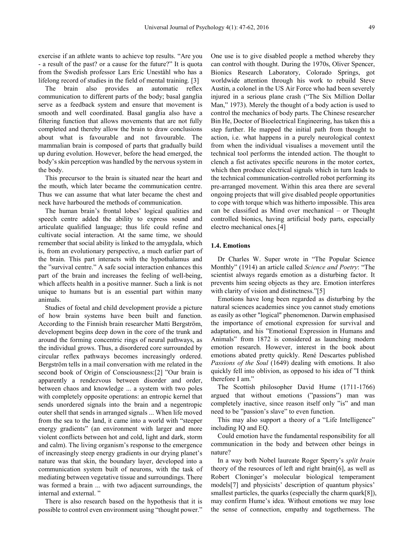exercise if an athlete wants to achieve top results. "Are you - a result of the past? or a cause for the future?" It is quota from the Swedish professor Lars Eric Uneståhl who has a lifelong record of studies in the field of mental training. [3]

The brain also provides an automatic reflex communication to different parts of the body; basal ganglia serve as a feedback system and ensure that movement is smooth and well coordinated. Basal ganglia also have a filtering function that allows movements that are not fully completed and thereby allow the brain to draw conclusions about what is favourable and not favourable. The mammalian brain is composed of parts that gradually build up during evolution. However, before the head emerged, the body's skin perception was handled by the nervous system in the body.

This precursor to the brain is situated near the heart and the mouth, which later became the communication centre. Thus we can assume that what later became the chest and neck have harboured the methods of communication.

The human brain's frontal lobes' logical qualities and speech centre added the ability to express sound and articulate qualified language; thus life could refine and cultivate social interaction. At the same time, we should remember that social ability is linked to the amygdala, which is, from an evolutionary perspective, a much earlier part of the brain. This part interacts with the hypothalamus and the "survival centre." A safe social interaction enhances this part of the brain and increases the feeling of well-being, which affects health in a positive manner. Such a link is not unique to humans but is an essential part within many animals.

Studies of foetal and child development provide a picture of how brain systems have been built and function. According to the Finnish brain researcher Matti Bergström, development begins deep down in the core of the trunk and around the forming concentric rings of neural pathways, as the individual grows. Thus, a disordered core surrounded by circular reflex pathways becomes increasingly ordered. Bergström tells in a mail conversation with me related in the second book of Origin of Consciousness:[2] "Our brain is apparently a rendezvous between disorder and order, between chaos and knowledge ... a system with two poles with completely opposite operations: an entropic kernel that sends unordered signals into the brain and a negentropic outer shell that sends in arranged signals ... When life moved from the sea to the land, it came into a world with "steeper energy gradients" (an environment with larger and more violent conflicts between hot and cold, light and dark, storm and calm). The living organism's response to the emergence of increasingly steep energy gradients in our drying planet's nature was that skin, the boundary layer, developed into a communication system built of neurons, with the task of mediating between vegetative tissue and surroundings. There was formed a brain ... with two adjacent surroundings, the internal and external.

There is also research based on the hypothesis that it is possible to control even environment using "thought power."

One use is to give disabled people a method whereby they can control with thought. During the 1970s, Oliver Spencer, Bionics Research Laboratory, Colorado Springs, got worldwide attention through his work to rebuild Steve Austin, a colonel in the US Air Force who had been severely injured in a serious plane crash ("The Six Million Dollar Man," 1973). Merely the thought of a body action is used to control the mechanics of body parts. The Chinese researcher Bin He, Doctor of Bioelectrical Engineering, has taken this a step further. He mapped the initial path from thought to action, i.e. what happens in a purely neurological context from when the individual visualises a movement until the technical tool performs the intended action. The thought to clench a fist activates specific neurons in the motor cortex, which then produce electrical signals which in turn leads to the technical communication-controlled robot performing its pre-arranged movement. Within this area there are several ongoing projects that will give disabled people opportunities to cope with torque which was hitherto impossible. This area can be classified as Mind over mechanical – or Thought controlled bionics, having artificial body parts, especially electro mechanical ones.[4]

## **1.4. Emotions**

Dr Charles W. Super wrote in "The Popular Science Monthly" (1914) an article called *Science and Poetry*: "The scientist always regards emotion as a disturbing factor. It prevents him seeing objects as they are. Emotion interferes with clarity of vision and distinctness."[5]

Emotions have long been regarded as disturbing by the natural sciences academies since you cannot study emotions as easily as other "logical" phenomenon. Darwin emphasised the importance of emotional expression for survival and adaptation, and his "Emotional Expression in Humans and Animals" from 1872 is considered as launching modern emotion research. However, interest in the book about emotions abated pretty quickly. René Descartes published *Passions of the Soul* (1649) dealing with emotions. It also quickly fell into oblivion, as opposed to his idea of "I think therefore I am."

The Scottish philosopher David Hume (1711-1766) argued that without emotions ("passions") man was completely inactive, since reason itself only "is" and man need to be "passion's slave" to even function.

This may also support a theory of a "Life Intelligence" including IQ and EQ.

Could emotion have the fundamental responsibility for all communication in the body and between other beings in nature?

In a way both Nobel laureate Roger Sperry's *split brain* theory of the resources of left and right brain[6], as well as Robert Cloninger's molecular biological temperament models[7] and physicists' description of quantum physics' smallest particles, the quarks (especially the charm quark[8]), may confirm Hume's idea. Without emotions we may lose the sense of connection, empathy and togetherness. The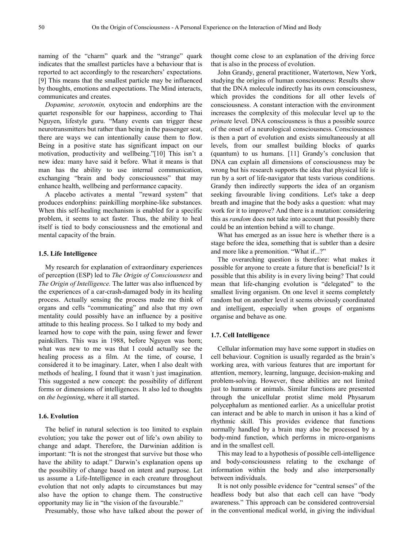naming of the "charm" quark and the "strange" quark indicates that the smallest particles have a behaviour that is reported to act accordingly to the researchers' expectations. [9] This means that the smallest particle may be influenced by thoughts, emotions and expectations. The Mind interacts, communicates and creates.

*Dopamine, serotonin,* oxytocin and endorphins are the quartet responsible for our happiness, according to Thai Nguyen, lifestyle guru. "Many events can trigger these neurotransmitters but rather than being in the passenger seat, there are ways we can intentionally cause them to flow. Being in a positive state has significant impact on our motivation, productivity and wellbeing."[10] This isn't a new idea: many have said it before. What it means is that man has the ability to use internal communication, exchanging "brain and body consciousness" that may enhance health, wellbeing and performance capacity.

A placebo activates a mental "reward system" that produces endorphins: painkilling morphine-like substances. When this self-healing mechanism is enabled for a specific problem, it seems to act faster. Thus, the ability to heal itself is tied to body consciousness and the emotional and mental capacity of the brain.

# **1.5. Life Intelligence**

My research for explanation of extraordinary experiences of perception (ESP) led to *The Origin of Consciousness* and *The Origin of Intelligence.* The latter was also influenced by the experiences of a car-crash-damaged body in its healing process. Actually sensing the process made me think of organs and cells "communicating" and also that my own mentality could possibly have an influence by a positive attitude to this healing process. So I talked to my body and learned how to cope with the pain, using fewer and fewer painkillers. This was in 1988, before Nguyen was born; what was new to me was that I could actually see the healing process as a film. At the time, of course, I considered it to be imaginary. Later, when I also dealt with methods of healing, I found that it wasn´t just imagination. This suggested a new concept: the possibility of different forms or dimensions of intelligences. It also led to thoughts on *the beginning*, where it all started.

# **1.6. Evolution**

The belief in natural selection is too limited to explain evolution; you take the power out of life's own ability to change and adapt. Therefore, the Darwinian addition is important: "It is not the strongest that survive but those who have the ability to adapt." Darwin's explanation opens up the possibility of change based on intent and purpose. Let us assume a Life-Intelligence in each creature throughout evolution that not only adapts to circumstances but may also have the option to change them. The constructive opportunity may lie in "the vision of the favourable."

Presumably, those who have talked about the power of

thought come close to an explanation of the driving force that is also in the process of evolution.

John Grandy, general practitioner, Watertown, New York, studying the origins of human consciousness: Results show that the DNA molecule indirectly has its own consciousness, which provides the conditions for all other levels of consciousness. A constant interaction with the environment increases the complexity of this molecular level up to the *primat*e level. DNA consciousness is thus a possible source of the onset of a neurological consciousness. Consciousness is then a part of evolution and exists simultaneously at all levels, from our smallest building blocks of quarks (quantum) to us humans. [11] Grandy's conclusion that DNA can explain all dimensions of consciousness may be wrong but his research supports the idea that physical life is run by a sort of life-navigator that tests various conditions. Grandy then indirectly supports the idea of an organism seeking favourable living conditions. Let's take a deep breath and imagine that the body asks a question: what may work for it to improve? And there is a mutation: considering this as *random* does not take into account that possibly there could be an intention behind a will to change.

What has emerged as an issue here is whether there is a stage before the idea, something that is subtler than a desire and more like a premonition. "What if...?"

The overarching question is therefore: what makes it possible for anyone to create a future that is beneficial? Is it possible that this ability is in every living being? That could mean that life-changing evolution is "delegated" to the smallest living organism. On one level it seems completely random but on another level it seems obviously coordinated and intelligent, especially when groups of organisms organise and behave as one.

### **1.7. Cell Intelligence**

Cellular information may have some support in studies on cell behaviour. Cognition is usually regarded as the brain's working area, with various features that are important for attention, memory, learning, language, decision-making and problem-solving. However, these abilities are not limited just to humans or animals. Similar functions are presented through the unicellular protist slime mold Physarum polycephalum as mentioned earlier. As a unicellular protist can interact and be able to march in unison it has a kind of rhythmic skill. This provides evidence that functions normally handled by a brain may also be processed by a body-mind function, which performs in micro-organisms and in the smallest cell.

This may lead to a hypothesis of possible cell-intelligence and body-consciousness relating to the exchange of information within the body and also interpersonally between individuals.

It is not only possible evidence for "central senses" of the headless body but also that each cell can have "body awareness." This approach can be considered controversial in the conventional medical world, in giving the individual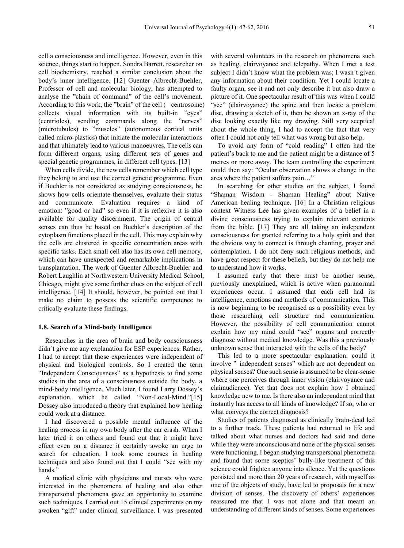cell a consciousness and intelligence. However, even in this science, things start to happen. Sondra Barrett, researcher on cell biochemistry, reached a similar conclusion about the body's inner intelligence. [12] Guenter Albrecht-Buehler, Professor of cell and molecular biology, has attempted to analyse the "chain of command" of the cell's movement. According to this work, the "brain" of the cell (= centrosome) collects visual information with its built-in "eyes" (centrioles), sending commands along the "nerves" (microtubules) to "muscles" (autonomous cortical units called micro-plastics) that initiate the molecular interactions and that ultimately lead to various manoeuvres. The cells can form different organs, using different sets of genes and special genetic programmes, in different cell types. [13]

When cells divide, the new cells remember which cell type they belong to and use the correct genetic programme. Even if Buehler is not considered as studying consciousness, he shows how cells orientate themselves, evaluate their status and communicate. Evaluation requires a kind of emotion: "good or bad" so even if it is reflexive it is also available for quality discernment. The origin of central senses can thus be based on Buehler's description of the cytoplasm functions placed in the cell. This may explain why the cells are clustered in specific concentration areas with specific tasks. Each small cell also has its own cell memory, which can have unexpected and remarkable implications in transplantation. The work of Guenter Albrecht-Buehler and Robert Laughlin at Northwestern University Medical School, Chicago, might give some further clues on the subject of cell intelligence. [14] It should, however, be pointed out that I make no claim to possess the scientific competence to critically evaluate these findings.

# **1.8. Search of a Mind-body Intelligence**

Researches in the area of brain and body consciousness didn´t give me any explanation for ESP experiences. Rather, I had to accept that those experiences were independent of physical and biological controls. So I created the term "Independent Consciousness" as a hypothesis to find some studies in the area of a consciousness outside the body, a mind-body intelligence. Much later, I found Larry Dossey's explanation, which he called "Non-Local-Mind."[15] Dossey also introduced a theory that explained how healing could work at a distance.

I had discovered a possible mental influence of the healing process in my own body after the car crash. When I later tried it on others and found out that it might have effect even on a distance it certainly awoke an urge to search for education. I took some courses in healing techniques and also found out that I could "see with my hands."

A medical clinic with physicians and nurses who were interested in the phenomena of healing and also other transpersonal phenomena gave an opportunity to examine such techniques. I carried out 15 clinical experiments on my awoken "gift" under clinical surveillance. I was presented

with several volunteers in the research on phenomena such as healing, clairvoyance and telepathy. When I met a test subject I didn´t know what the problem was; I wasn´t given any information about their condition. Yet I could locate a faulty organ, see it and not only describe it but also draw a picture of it. One spectacular result of this was when I could "see" (clairvoyance) the spine and then locate a problem disc, drawing a sketch of it, then be shown an x-ray of the disc looking exactly like my drawing. Still very sceptical about the whole thing, I had to accept the fact that very often I could not only tell what was wrong but also help.

To avoid any form of "cold reading" I often had the patient's back to me and the patient might be a distance of 5 metres or more away. The team controlling the experiment could then say: "Ocular observation shows a change in the area where the patient suffers pain…"

In searching for other studies on the subject, I found "Shaman Wisdom - Shaman Healing" about Native American healing technique. [16] In a Christian religious context Witness Lee has given examples of a belief in a divine consciousness trying to explain relevant contents from the bible. [17] They are all taking an independent consciousness for granted referring to a holy spirit and that the obvious way to connect is through chanting, prayer and contemplation. I do not deny such religious methods, and have great respect for these beliefs, but they do not help me to understand how it works.

I assumed early that there must be another sense, previously unexplained, which is active when paranormal experiences occur. I assumed that each cell had its intelligence, emotions and methods of communication. This is now beginning to be recognised as a possibility even by those researching cell structure and communication. However, the possibility of cell communication cannot explain how my mind could "see" organs and correctly diagnose without medical knowledge. Was this a previously unknown sense that interacted with the cells of the body?

This led to a more spectacular explanation: could it involve " independent senses" which are not dependent on physical senses? One such sense is assumed to be clear-sense where one perceives through inner vision (clairvoyance and clairaudience). Yet that does not explain how I obtained knowledge new to me. Is there also an independent mind that instantly has access to all kinds of knowledge? If so, who or what conveys the correct diagnosis?

Studies of patients diagnosed as clinically brain-dead led to a further track. These patients had returned to life and talked about what nurses and doctors had said and done while they were unconscious and none of the physical senses were functioning. I began studying transpersonal phenomena and found that some sceptics' bully-like treatment of this science could frighten anyone into silence. Yet the questions persisted and more than 20 years of research, with myself as one of the objects of study, have led to proposals for a new division of senses. The discovery of others' experiences reassured me that I was not alone and that meant an understanding of different kinds of senses. Some experiences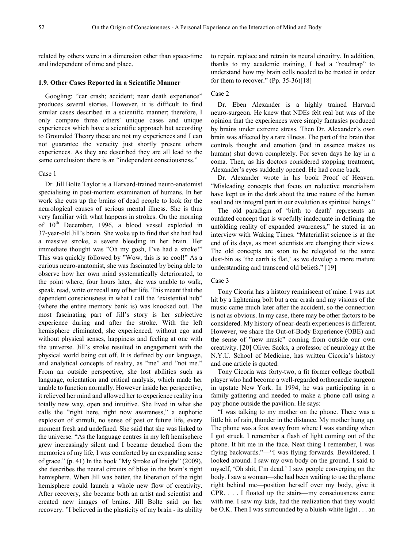related by others were in a dimension other than space-time and independent of time and place.

### **1.9. Other Cases Reported in a Scientific Manner**

Googling: "car crash; accident; near death experience" produces several stories. However, it is difficult to find similar cases described in a scientific manner; therefore, I only compare three others' unique cases and unique experiences which have a scientific approach but according to Grounded Theory these are not my experiences and I can not guarantee the veracity just shortly present others experiences. As they are described they are all lead to the same conclusion: there is an "independent consciousness."

## Case 1

Dr. Jill Bolte Taylor is a Harvard-trained neuro-anatomist specialising in post-mortem examination of humans. In her work she cuts up the brains of dead people to look for the neurological causes of serious mental illness. She is thus very familiar with what happens in strokes. On the morning of  $10^{th}$  December, 1996, a blood vessel exploded in 37-year-old Jill's brain. She woke up to find that she had had a massive stroke, a severe bleeding in her brain. Her immediate thought was "Oh my gosh, I've had a stroke!" This was quickly followed by "Wow, this is so cool!" As a curious neuro-anatomist, she was fascinated by being able to observe how her own mind systematically deteriorated, to the point where, four hours later, she was unable to walk, speak, read, write or recall any of her life. This meant that the dependent consciousness in what I call the "existential hub" (where the entire memory bank is) was knocked out. The most fascinating part of Jill's story is her subjective experience during and after the stroke. With the left hemisphere eliminated, she experienced, without ego and without physical senses, happiness and feeling at one with the universe. Jill's stroke resulted in engagement with the physical world being cut off. It is defined by our language, and analytical concepts of reality, as "me" and "not me." From an outside perspective, she lost abilities such as language, orientation and critical analysis, which made her unable to function normally. However inside her perspective, it relieved her mind and allowed her to experience reality in a totally new way, open and intuitive. She lived in what she calls the "right here, right now awareness," a euphoric explosion of stimuli, no sense of past or future life, every moment fresh and undefined. She said that she was linked to the universe. "As the language centres in my left hemisphere grew increasingly silent and I became detached from the memories of my life, I was comforted by an expanding sense of grace." (p. 41) In the book "My Stroke of Insight" (2009), she describes the neural circuits of bliss in the brain's right hemisphere. When Jill was better, the liberation of the right hemisphere could launch a whole new flow of creativity. After recovery, she became both an artist and scientist and created new images of brains. Jill Bolte said on her recovery: "I believed in the plasticity of my brain - its ability

to repair, replace and retrain its neural circuitry. In addition, thanks to my academic training, I had a "roadmap" to understand how my brain cells needed to be treated in order for them to recover." (Pp. 35-36) $[18]$ 

# Case 2

Dr. Eben Alexander is a highly trained Harvard neuro-surgeon. He knew that NDEs felt real but was of the opinion that the experiences were simply fantasies produced by brains under extreme stress. Then Dr. Alexander's own brain was affected by a rare illness. The part of the brain that controls thought and emotion (and in essence makes us human) shut down completely. For seven days he lay in a coma. Then, as his doctors considered stopping treatment, Alexander's eyes suddenly opened. He had come back.

Dr. Alexander wrote in his book Proof of Heaven: "Misleading concepts that focus on reductive materialism have kept us in the dark about the true nature of the human soul and its integral part in our evolution as spiritual beings."

The old paradigm of 'birth to death' represents an outdated concept that is woefully inadequate in defining the unfolding reality of expanded awareness," he stated in an interview with Waking Times. "Materialist science is at the end of its days, as most scientists are changing their views. The old concepts are soon to be relegated to the same dust-bin as 'the earth is flat,' as we develop a more mature understanding and transcend old beliefs." [19]

# Case 3

Tony Cicoria has a history reminiscent of mine. I was not hit by a lightening bolt but a car crash and my visions of the music came much later after the accident, so the connection is not as obvious. In my case, there may be other factors to be considered. My history of near-death experiences is different. However, we share the Out-of-Body Experience (OBE) and the sense of "new music" coming from outside our own creativity. [20] Oliver Sacks, a professor of neurology at the N.Y.U. School of Medicine, has written Cicoria's history and one article is quoted.

Tony Cicoria was forty-two, a fit former college football player who had become a well-regarded orthopaedic surgeon in upstate New York. In 1994, he was participating in a family gathering and needed to make a phone call using a pay phone outside the pavilion. He says:

"I was talking to my mother on the phone. There was a little bit of rain, thunder in the distance. My mother hung up. The phone was a foot away from where I was standing when I got struck. I remember a flash of light coming out of the phone. It hit me in the face. Next thing I remember, I was flying backwards."—"I was flying forwards. Bewildered. I looked around. I saw my own body on the ground. I said to myself, 'Oh shit, I'm dead.' I saw people converging on the body. I saw a woman—she had been waiting to use the phone right behind me—position herself over my body, give it CPR. . . . I floated up the stairs—my consciousness came with me. I saw my kids, had the realization that they would be O.K. Then I was surrounded by a bluish-white light . . . an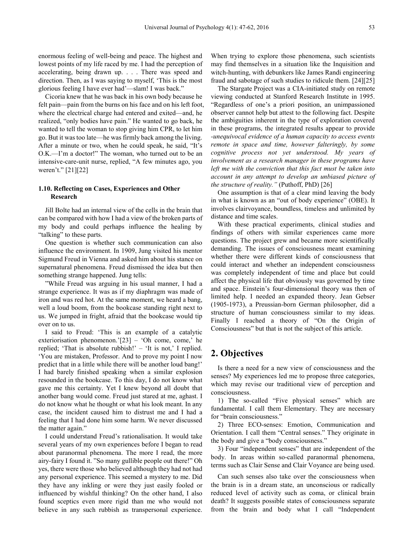enormous feeling of well-being and peace. The highest and lowest points of my life raced by me. I had the perception of accelerating, being drawn up. . . . There was speed and direction. Then, as I was saying to myself, 'This is the most glorious feeling I have ever had'—slam! I was back."

Cicoria knew that he was back in his own body because he felt pain—pain from the burns on his face and on his left foot, where the electrical charge had entered and exited—and, he realized, "only bodies have pain." He wanted to go back, he wanted to tell the woman to stop giving him CPR, to let him go. But it was too late—he was firmly back among the living. After a minute or two, when he could speak, he said, "It's O.K.—I'm a doctor!" The woman, who turned out to be an intensive-care-unit nurse, replied, "A few minutes ago, you weren't." [21][22]

# **1.10. Reflecting on Cases, Experiences and Other Research**

Jill Bolte had an internal view of the cells in the brain that can be compared with how I had a view of the broken parts of my body and could perhaps influence the healing by "talking" to these parts.

One question is whether such communication can also influence the environment. In 1909, Jung visited his mentor Sigmund Freud in Vienna and asked him about his stance on supernatural phenomena. Freud dismissed the idea but then something strange happened. Jung tells:

"While Freud was arguing in his usual manner, I had a strange experience. It was as if my diaphragm was made of iron and was red hot. At the same moment, we heard a bang, well a loud boom, from the bookcase standing right next to us. We jumped in fright, afraid that the bookcase would tip over on to us.

I said to Freud: 'This is an example of a catalytic exteriorisation phenomenon.'[23] – 'Oh come, come,' he replied; 'That is absolute rubbish!' – 'It is not,' I replied. 'You are mistaken, Professor. And to prove my point I now predict that in a little while there will be another loud bang!' I had barely finished speaking when a similar explosion resounded in the bookcase. To this day, I do not know what gave me this certainty. Yet I knew beyond all doubt that another bang would come. Freud just stared at me, aghast. I do not know what he thought or what his look meant. In any case, the incident caused him to distrust me and I had a feeling that I had done him some harm. We never discussed the matter again."

I could understand Freud's rationalisation. It would take several years of my own experiences before I began to read about paranormal phenomena. The more I read, the more airy-fairy I found it. "So many gullible people out there!" Oh yes, there were those who believed although they had not had any personal experience. This seemed a mystery to me. Did they have any inkling or were they just easily fooled or influenced by wishful thinking? On the other hand, I also found sceptics even more rigid than me who would not believe in any such rubbish as transpersonal experience.

When trying to explore those phenomena, such scientists may find themselves in a situation like the Inquisition and witch-hunting, with debunkers like James Randi engineering fraud and sabotage of such studies to ridicule them. [24][25]

The Stargate Project was a CIA-initiated study on remote viewing conducted at Stanford Research Institute in 1995. "Regardless of one's a priori position, an unimpassioned observer cannot help but attest to the following fact. Despite the ambiguities inherent in the type of exploration covered in these programs, the integrated results appear to provide *-unequivocal evidence of a human capacity to access events remote in space and time, however falteringly, by some cognitive process not yet understood. My years of involvement as a research manager in these programs have left me with the conviction that this fact must be taken into account in any attempt to develop an unbiased picture of the structure of reality."* (Puthoff, PhD) [26]

One assumption is that of a clear mind leaving the body in what is known as an "out of body experience" (OBE). It involves clairvoyance, boundless, timeless and unlimited by distance and time scales.

With these practical experiments, clinical studies and findings of others with similar experiences came more questions. The project grew and became more scientifically demanding. The issues of consciousness meant examining whether there were different kinds of consciousness that could interact and whether an independent consciousness was completely independent of time and place but could affect the physical life that obviously was governed by time and space. Einstein's four-dimensional theory was then of limited help. I needed an expanded theory. Jean Gebser (1905-1973), a Preussian-born German philosopher, did a structure of human consciousness similar to my ideas. Finally I reached a theory of "On the Origin of Consciousness" but that is not the subject of this article.

# **2. Objectives**

Is there a need for a new view of consciousness and the senses? My experiences led me to propose three categories, which may revise our traditional view of perception and consciousness.

1) The so-called "Five physical senses" which are fundamental. I call them Elementary. They are necessary for "brain consciousness."

2) Three ECO-senses: Emotion, Communication and Orientation. I call them "Central senses." They originate in the body and give a "body consciousness."

3) Four "independent senses" that are independent of the body. In areas within so-called paranormal phenomena, terms such as Clair Sense and Clair Voyance are being used.

Can such senses also take over the consciousness when the brain is in a dream state, an unconscious or radically reduced level of activity such as coma, or clinical brain death? It suggests possible states of consciousness separate from the brain and body what I call "Independent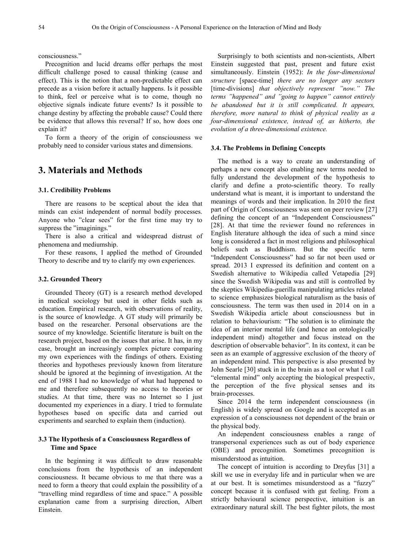consciousness."

Precognition and lucid dreams offer perhaps the most difficult challenge posed to causal thinking (cause and effect). This is the notion that a non-predictable effect can precede as a vision before it actually happens. Is it possible to think, feel or perceive what is to come, though no objective signals indicate future events? Is it possible to change destiny by affecting the probable cause? Could there be evidence that allows this reversal? If so, how does one explain it?

To form a theory of the origin of consciousness we probably need to consider various states and dimensions.

# **3. Materials and Methods**

## **3.1. Credibility Problems**

There are reasons to be sceptical about the idea that minds can exist independent of normal bodily processes. Anyone who "clear sees" for the first time may try to suppress the "imaginings."

There is also a critical and widespread distrust of phenomena and mediumship.

For these reasons, I applied the method of Grounded Theory to describe and try to clarify my own experiences.

## **3.2. Grounded Theory**

Grounded Theory (GT) is a research method developed in medical sociology but used in other fields such as education. Empirical research, with observations of reality, is the source of knowledge. A GT study will primarily be based on the researcher. Personal observations are the source of my knowledge. Scientific literature is built on the research project, based on the issues that arise. It has, in my case, brought an increasingly complex picture comparing my own experiences with the findings of others. Existing theories and hypotheses previously known from literature should be ignored at the beginning of investigation. At the end of 1988 I had no knowledge of what had happened to me and therefore subsequently no access to theories or studies. At that time, there was no Internet so I just documented my experiences in a diary. I tried to formulate hypotheses based on specific data and carried out experiments and searched to explain them (induction).

# **3.3 The Hypothesis of a Consciousness Regardless of Time and Space**

In the beginning it was difficult to draw reasonable conclusions from the hypothesis of an independent consciousness. It became obvious to me that there was a need to form a theory that could explain the possibility of a "travelling mind regardless of time and space." A possible explanation came from a surprising direction, Albert Einstein.

Surprisingly to both scientists and non-scientists, Albert Einstein suggested that past, present and future exist simultaneously. Einstein (1952): *In the four-dimensional structure* [space-time] *there are no longer any sectors*  [time-divisions] *that objectively represent "now." The terms "happened" and "going to happen" cannot entirely be abandoned but it is still complicated. It appears, therefore, more natural to think of physical reality as a four-dimensional existence, instead of, as hitherto, the evolution of a three-dimensional existence.*

# **3.4. The Problems in Defining Concepts**

The method is a way to create an understanding of perhaps a new concept also enabling new terms needed to fully understand the development of the hypothesis to clarify and define a proto-scientific theory. To really understand what is meant, it is important to understand the meanings of words and their implication. In 2010 the first part of Origin of Consciousness was sent on peer review [27] defining the concept of an "Independent Consciousness" [28]. At that time the reviewer found no references in English literature although the idea of such a mind since long is considered a fact in most religions and philosophical beliefs such as Buddhism. But the specific term "Independent Consciousness" had so far not been used or spread. 2013 I expressed its definition and content on a Swedish alternative to Wikipedia called Vetapedia [29] since the Swedish Wikipedia was and still is controlled by the skeptics Wikipedia-guerilla manipulating articles related to science emphasizes biological naturalism as the basis of consciousness. The term was then used in 2014 on in a Swedish Wikipedia article about consciousness but in relation to behaviourism: "The solution is to eliminate the idea of an interior mental life (and hence an ontologically independent mind) altogether and focus instead on the description of observable behavior". In its context, it can be seen as an example of aggressive exclusion of the theory of an independent mind. This perspective is also presented by John Searle [30] stuck in in the brain as a tool or what I call "elemental mind" only accepting the biological prespectiv, the perception of the five physical senses and its brain-processes.

Since 2014 the term independent consciousness (in English) is widely spread on Google and is accepted as an expression of a consciousness not dependent of the brain or the physical body.

An independent consciousness enables a range of transpersonal experiences such as out of body experience (OBE) and precognition. Sometimes precognition is misunderstood as intuition.

The concept of intuition is according to Dreyfus [31] a skill we use in everyday life and in particular when we are at our best. It is sometimes misunderstood as a "fuzzy" concept because it is confused with gut feeling. From a strictly behavioural science perspective, intuition is an extraordinary natural skill. The best fighter pilots, the most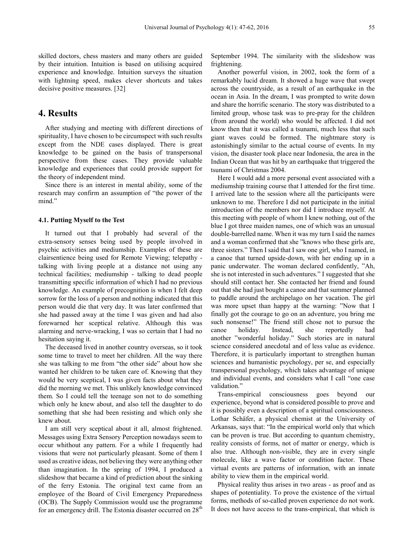skilled doctors, chess masters and many others are guided by their intuition. Intuition is based on utilising acquired experience and knowledge. Intuition surveys the situation with lightning speed, makes clever shortcuts and takes decisive positive measures. [32]

# **4. Results**

After studying and meeting with different directions of spirituality, I have chosen to be circumspect with such results except from the NDE cases displayed. There is great knowledge to be gained on the basis of transpersonal perspective from these cases. They provide valuable knowledge and experiences that could provide support for the theory of independent mind.

Since there is an interest in mental ability, some of the research may confirm an assumption of "the power of the mind."

# **4.1. Putting Myself to the Test**

It turned out that I probably had several of the extra-sensory senses being used by people involved in psychic activities and mediumship. Examples of these are clairsentience being used for Remote Viewing; telepathy talking with living people at a distance not using any technical facilities; mediumship - talking to dead people transmitting specific information of which I had no previous knowledge. An example of precognition is when I felt deep sorrow for the loss of a person and nothing indicated that this person would die that very day. It was later confirmed that she had passed away at the time I was given and had also forewarned her sceptical relative. Although this was alarming and nerve-wracking, I was so certain that I had no hesitation saying it.

The deceased lived in another country overseas, so it took some time to travel to meet her children. All the way there she was talking to me from "the other side" about how she wanted her children to be taken care of. Knowing that they would be very sceptical, I was given facts about what they did the morning we met. This unlikely knowledge convinced them. So I could tell the teenage son not to do something which only he knew about, and also tell the daughter to do something that she had been resisting and which only she knew about.

I am still very sceptical about it all, almost frightened. Messages using Extra Sensory Perception nowadays seem to occur whithout any pattern. For a while I frequently had visions that were not particularly pleasant. Some of them I used as creative ideas, not believing they were anything other than imagination. In the spring of 1994, I produced a slideshow that became a kind of prediction about the sinking of the ferry Estonia. The original text came from an employee of the Board of Civil Emergency Preparedness (OCB). The Supply Commission would use the programme for an emergency drill. The Estonia disaster occurred on 28<sup>th</sup>

September 1994. The similarity with the slideshow was frightening.

Another powerful vision, in 2002, took the form of a remarkably lucid dream. It showed a huge wave that swept across the countryside, as a result of an earthquake in the ocean in Asia. In the dream, I was prompted to write down and share the horrific scenario. The story was distributed to a limited group, whose task was to pre-pray for the children (from around the world) who would be affected. I did not know then that it was called a tsunami, much less that such giant waves could be formed. The nightmare story is astonishingly similar to the actual course of events. In my vision, the disaster took place near Indonesia, the area in the Indian Ocean that was hit by an earthquake that triggered the tsunami of Christmas 2004.

Here I would add a more personal event associated with a mediumship training course that I attended for the first time. I arrived late to the session where all the participants were unknown to me. Therefore I did not participate in the initial introduction of the members nor did I introduce myself. At this meeting with people of whom I knew nothing, out of the blue I got three maiden names, one of which was an unusual double-barrelled name. When it was my turn I said the names and a woman confirmed that she "knows who these girls are, three sisters." Then I said that I saw one girl, who I named, in a canoe that turned upside-down, with her ending up in a panic underwater. The woman declared confidently, "Ah, she is not interested in such adventures." I suggested that she should still contact her. She contacted her friend and found out that she had just bought a canoe and that summer planned to paddle around the archipelago on her vacation. The girl was more upset than happy at the warning: "Now that I finally got the courage to go on an adventure, you bring me such nonsense!" The friend still chose not to pursue the canoe holiday. Instead, she reportedly had another "wonderful holiday." Such stories are in natural science considered anecdotal and of less value as evidence. Therefore, it is particularly important to strengthen human sciences and humanistic psychology, per se, and especially transpersonal psychology, which takes advantage of unique and individual events, and considers what I call "one case validation."

Trans-empirical consciousness goes beyond our experience, beyond what is considered possible to prove and it is possibly even a description of a spiritual consciousness. Lothar Schäfer, a physical chemist at the University of Arkansas, says that: "In the empirical world only that which can be proven is true. But according to quantum chemistry, reality consists of forms, not of matter or energy, which is also true. Although non-visible, they are in every single molecule, like a wave factor or condition factor. These virtual events are patterns of information, with an innate ability to view them in the empirical world.

Physical reality thus arises in two areas - as proof and as shapes of potentiality. To prove the existence of the virtual forms, methods of so-called proven experience do not work. It does not have access to the trans-empirical, that which is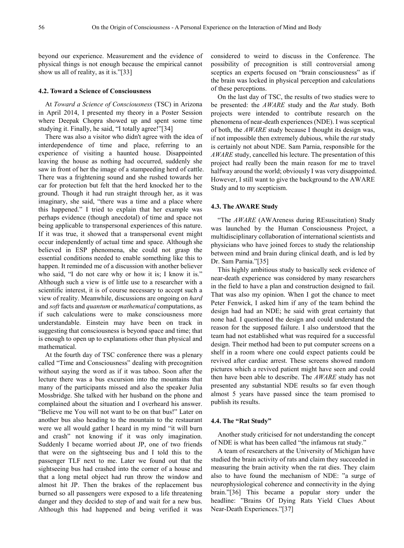beyond our experience. Measurement and the evidence of physical things is not enough because the empirical cannot show us all of reality, as it is."[33]

# **4.2. Toward a Science of Consciousness**

At *Toward a Science of Consciousness* (TSC) in Arizona in April 2014, I presented my theory in a Poster Session where Deepak Chopra showed up and spent some time studying it. Finally, he said, "I totally agree!"[34]

There was also a visitor who didn't agree with the idea of interdependence of time and place, referring to an experience of visiting a haunted house. Disappointed leaving the house as nothing had occurred, suddenly she saw in front of her the image of a stampeeding herd of cattle. There was a frightening sound and she rushed towards her car for protection but felt that the herd knocked her to the ground. Though it had run straight through her, as it was imaginary, she said, "there was a time and a place where this happened." I tried to explain that her example was perhaps evidence (though anecdotal) of time and space not being applicable to transpersonal experiences of this nature. If it was true, it showed that a transpersonal event might occur independently of actual time and space. Although she believed in ESP phenomena, she could not grasp the essential conditions needed to enable something like this to happen. It reminded me of a discussion with another believer who said, "I do not care why or how it is; I know it is." Although such a view is of little use to a researcher with a scientific interest, it is of course necessary to accept such a view of reality. Meanwhile, discussions are ongoing on *hard* and *soft* facts and *quantum* or *mathematical* computations, as if such calculations were to make consciousness more understandable. Einstein may have been on track in suggesting that consciousness is beyond space and time; that is enough to open up to explanations other than physical and mathematical.

At the fourth day of TSC conference there was a plenary called "Time and Consciousness" dealing with precognition without saying the word as if it was taboo. Soon after the lecture there was a bus excursion into the mountains that many of the participants missed and also the speaker Julia Mossbridge. She talked with her husband on the phone and complained about the situation and I overheard his answer. "Believe me You will not want to be on that bus!" Later on another bus also heading to the mountain to the restaurant were we all would gather I heard in my mind "it will burn and crash" not knowing if it was only imagination. Suddenly I became worried about JP, one of two friends that were on the sightseeing bus and I told this to the passenger TLF next to me. Later we found out that the sightseeing bus had crashed into the corner of a house and that a long metal object had run throw the window and almost hit JP. Then the brakes of the replacement bus burned so all passengers were exposed to a life threatening danger and they decided to step of and wait for a new bus. Although this had happened and being verified it was

considered to weird to discuss in the Conference. The possibility of precognition is still controversial among sceptics an experts focused on "brain consciousness" as if the brain was locked in physical perception and calculations of these perceptions.

On the last day of TSC, the results of two studies were to be presented: the *AWARE* study and the *Rat* study. Both projects were intended to contribute research on the phenomena of near-death experiences (NDE). I was sceptical of both, the *AWARE* study because I thought its design was, if not impossible then extremely dubious, while the *rat* study is certainly not about NDE. Sam Parnia, responsible for the *AWARE* study, cancelled his lecture. The presentation of this project had really been the main reason for me to travel halfway around the world; obviously I was very disappointed. However, I still want to give the background to the AWARE Study and to my scepticism.

# **4.3. The AWARE Study**

"The *AWARE* (AWAreness during REsuscitation) Study was launched by the Human Consciousness Project, a multidisciplinary collaboration of international scientists and physicians who have joined forces to study the relationship between mind and brain during clinical death, and is led by Dr. Sam Parnia."[35]

This highly ambitious study to basically seek evidence of near-death experience was considered by many researchers in the field to have a plan and construction designed to fail. That was also my opinion. When I got the chance to meet Peter Fenwick, I asked him if any of the team behind the design had had an NDE; he said with great certainty that none had. I questioned the design and could understand the reason for the supposed failure. I also understood that the team had not established what was required for a successful design. Their method had been to put computer screens on a shelf in a room where one could expect patients could be revived after cardiac arrest. These screens showed random pictures which a revived patient might have seen and could then have been able to describe. The *AWARE* study has not presented any substantial NDE results so far even though almost 5 years have passed since the team promised to publish its results.

# **4.4. The "Rat Study"**

Another study criticised for not understanding the concept of NDE is what has been called "the infamous rat study."

A team of researchers at the University of Michigan have studied the brain activity of rats and claim they succeeded in measuring the brain activity when the rat dies. They claim also to have found the mechanism of NDE: "a surge of neurophysiological coherence and connectivity in the dying brain."[36] This became a popular story under the headline: "Brains Of Dying Rats Yield Clues About Near-Death Experiences."[37]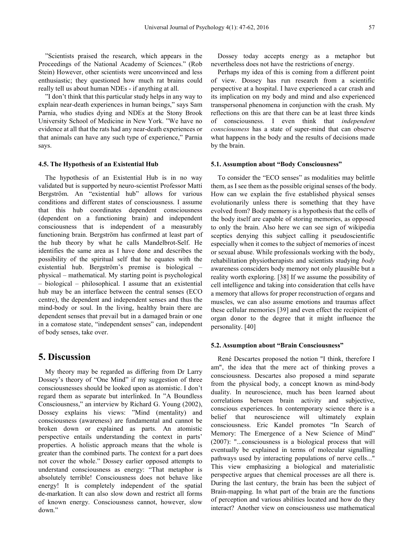"Scientists praised the research, which appears in the Proceedings of the National Academy of Sciences." (Rob Stein) However, other scientists were unconvinced and less enthusiastic; they questioned how much rat brains could really tell us about human NDEs - if anything at all.

"I don't think that this particular study helps in any way to explain near-death experiences in human beings," says Sam Parnia, who studies dying and NDEs at the Stony Brook University School of Medicine in New York. "We have no evidence at all that the rats had any near-death experiences or that animals can have any such type of experience," Parnia says.

### **4.5. The Hypothesis of an Existential Hub**

The hypothesis of an Existential Hub is in no way validated but is supported by neuro-scientist Professor Matti Bergström. An "existential hub" allows for various conditions and different states of consciousness. I assume that this hub coordinates dependent consciousness (dependent on a functioning brain) and independent consciousness that is independent of a measurably functioning brain. Bergström has confirmed at least part of the hub theory by what he calls Mandelbrot-Self. He identifies the same area as I have done and describes the possibility of the spiritual self that he equates with the existential hub. Bergström's premise is biological – physical – mathematical. My starting point is psychological – biological – philosophical. I assume that an existential hub may be an interface between the central senses (ECO centre), the dependent and independent senses and thus the mind-body or soul. In the living, healthy brain there are dependent senses that prevail but in a damaged brain or one in a comatose state, "independent senses" can, independent of body senses, take over.

# **5. Discussion**

My theory may be regarded as differing from Dr Larry Dossey's theory of "One Mind" if my suggestion of three consciousnesses should be looked upon as atomistic. I don't regard them as separate but interlinked. In "A Boundless Consciousness," an interview by Richard G. Young (2002), Dossey explains his views: "Mind (mentality) and consciousness (awareness) are fundamental and cannot be broken down or explained as parts. An atomistic perspective entails understanding the context in parts' properties. A holistic approach means that the whole is greater than the combined parts. The context for a part does not cover the whole." Dossey earlier opposed attempts to understand consciousness as energy: "That metaphor is absolutely terrible! Consciousness does not behave like energy! It is completely independent of the spatial de-markation. It can also slow down and restrict all forms of known energy. Consciousness cannot, however, slow down."

Dossey today accepts energy as a metaphor but nevertheless does not have the restrictions of energy.

Perhaps my idea of this is coming from a different point of view. Dossey has run research from a scientific perspective at a hospital. I have experienced a car crash and its implication on my body and mind and also experienced transpersonal phenomena in conjunction with the crash. My reflections on this are that there can be at least three kinds of consciousness. I even think that *independent consciousness* has a state of super-mind that can observe what happens in the body and the results of decisions made by the brain.

#### **5.1. Assumption about "Body Consciousness"**

To consider the "ECO senses" as modalities may belittle them, as I see them as the possible original senses of the body. How can we explain the five established physical senses evolutionarily unless there is something that they have evolved from? Body memory is a hypothesis that the cells of the body itself are capable of storing memories, as opposed to only the brain. Also here we can see sign of wikipedia sceptics denying this subject calling it pseudoscientific especially when it comes to the subject of memories of incest or sexual abuse. While professionals working with the body, rehabilitation physiotherapists and scientists studying *body* awareness consciders body memory not only plausible but a reality worth exploring. [38] If we assume the possibility of cell intelligence and taking into consideration that cells have a memory that allows for proper reconstruction of organs and muscles, we can also assume emotions and traumas affect these cellular memories [39] and even effect the recipient of organ donor to the degree that it might influence the personality. [40]

# **5.2. Assumption about "Brain Consciousness"**

René Descartes proposed the notion "I think, therefore I am", the idea that the mere act of thinking proves a consciousness. Descartes also proposed a mind separate from the physical body, a concept known as mind-body duality. In neuroscience, much has been learned about correlations between brain activity and subjective, conscious experiences. In contemporary science there is a belief that neuroscience will ultimately explain consciousness. Eric Kandel promotes "In Search of Memory: The Emergence of a New Science of Mind" (2007): "...consciousness is a biological process that will eventually be explained in terms of molecular signalling pathways used by interacting populations of nerve cells..." This view emphasizing a biological and materialistic perspective argues that chemical processes are all there is. During the last century, the brain has been the subject of Brain-mapping. In what part of the brain are the functions of perception and various abilities located and how do they interact? Another view on consciousness use mathematical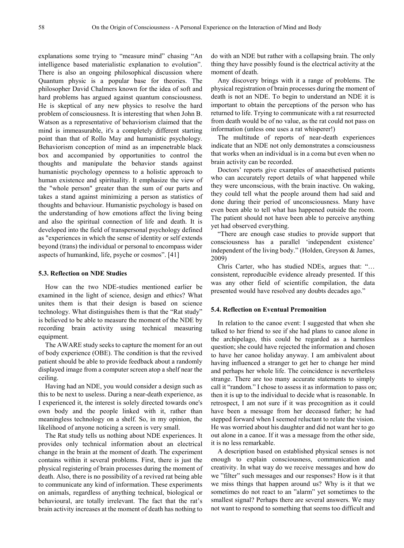explanations some trying to "measure mind" chasing "An intelligence based materialistic explanation to evolution". There is also an ongoing philosophical discussion where Quantum physic is a popular base for theories. The philosopher David Chalmers known for the idea of soft and hard problems has argued against quantum consciousness. He is skeptical of any new physics to resolve the hard problem of consciousness. It is interesting that when John B. Watson as a representative of behaviorism claimed that the mind is immeasurable, it's a completely different starting point than that of Rollo May and humanistic psychology. Behaviorism conception of mind as an impenetrable black box and accompanied by opportunities to control the thoughts and manipulate the behavior stands against humanistic psychology openness to a holistic approach to human existence and spirituality. It emphasize the view of the "whole person" greater than the sum of our parts and takes a stand against minimizing a person as statistics of thoughts and behaviour. Humanistic psychology is based on the understanding of how emotions affect the living being and also the spiritual connection of life and death. It is developed into the field of transpersonal psychology defined as "experiences in which the sense of identity or self extends beyond (trans) the individual or personal to encompass wider aspects of humankind, life, psyche or cosmos". [41]

# **5.3. Reflection on NDE Studies**

How can the two NDE-studies mentioned earlier be examined in the light of science, design and ethics? What unites them is that their design is based on science technology. What distinguishes them is that the "Rat study" is believed to be able to measure the moment of the NDE by recording brain activity using technical measuring equipment.

The AWARE study seeks to capture the moment for an out of body experience (OBE). The condition is that the revived patient should be able to provide feedback about a randomly displayed image from a computer screen atop a shelf near the ceiling.

Having had an NDE, you would consider a design such as this to be next to useless. During a near-death experience, as I experienced it, the interest is solely directed towards one's own body and the people linked with it, rather than meaningless technology on a shelf. So, in my opinion, the likelihood of anyone noticing a screen is very small.

The Rat study tells us nothing about NDE experiences. It provides only technical information about an electrical change in the brain at the moment of death. The experiment contains within it several problems. First, there is just the physical registering of brain processes during the moment of death. Also, there is no possibility of a revived rat being able to communicate any kind of information. These experiments on animals, regardless of anything technical, biological or behavioural, are totally irrelevant. The fact that the rat's brain activity increases at the moment of death has nothing to

do with an NDE but rather with a collapsing brain. The only thing they have possibly found is the electrical activity at the moment of death.

Any discovery brings with it a range of problems. The physical registration of brain processes during the moment of death is not an NDE. To begin to understand an NDE it is important to obtain the perceptions of the person who has returned to life. Trying to communicate with a rat resurrected from death would be of no value, as the rat could not pass on information (unless one uses a rat whisperer!)

The multitude of reports of near-death experiences indicate that an NDE not only demonstrates a consciousness that works when an individual is in a coma but even when no brain activity can be recorded.

Doctors' reports give examples of anaesthetised patients who can accurately report details of what happened while they were unconscious, with the brain inactive. On waking, they could tell what the people around them had said and done during their period of unconsciousness. Many have even been able to tell what has happened outside the room. The patient should not have been able to perceive anything yet had observed everything.

"There are enough case studies to provide support that consciousness has a parallel 'independent existence' independent of the living body." (Holden, Greyson & James, 2009)

Chris Carter, who has studied NDEs, argues that: "… consistent, reproducible evidence already presented. If this was any other field of scientific compilation, the data presented would have resolved any doubts decades ago."

## **5.4. Reflection on Eventual Premonition**

In relation to the canoe event: I suggested that when she talked to her friend to see if she had plans to canoe alone in the archipelago, this could be regarded as a harmless question; she could have rejected the information and chosen to have her canoe holiday anyway. I am ambivalent about having influenced a stranger to get her to change her mind and perhaps her whole life. The coincidence is nevertheless strange. There are too many accurate statements to simply call it "random." I chose to assess it as information to pass on; then it is up to the individual to decide what is reasonable. In retrospect, I am not sure if it was precognition as it could have been a message from her deceased father; he had stepped forward when I seemed reluctant to relate the vision. He was worried about his daughter and did not want her to go out alone in a canoe. If it was a message from the other side, it is no less remarkable.

A description based on established physical senses is not enough to explain consciousness, communication and creativity. In what way do we receive messages and how do we "filter" such messages and our responses? How is it that we miss things that happen around us? Why is it that we sometimes do not react to an "alarm" yet sometimes to the smallest signal? Perhaps there are several answers. We may not want to respond to something that seems too difficult and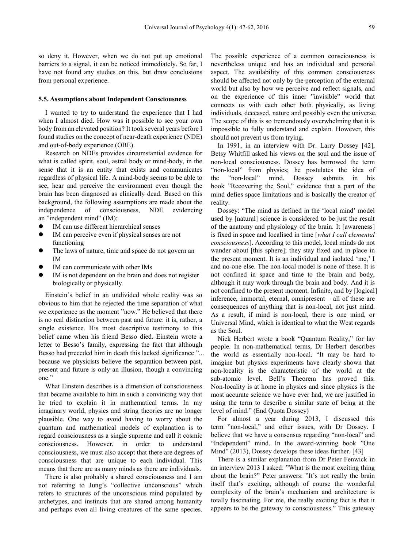so deny it. However, when we do not put up emotional barriers to a signal, it can be noticed immediately. So far, I have not found any studies on this, but draw conclusions from personal experience.

### **5.5. Assumptions about Independent Consciousness**

I wanted to try to understand the experience that I had when I almost died. How was it possible to see your own body from an elevated position? It took several years before I found studies on the concept of near-death experience (NDE) and out-of-body experience (OBE).

Research on NDEs provides circumstantial evidence for what is called spirit, soul, astral body or mind-body, in the sense that it is an entity that exists and communicates regardless of physical life. A mind-body seems to be able to see, hear and perceive the environment even though the brain has been diagnosed as clinically dead. Based on this background, the following assumptions are made about the independence of consciousness, NDE evidencing an "independent mind" (IM):

- IM can use different hierarchical senses
- IM can perceive even if physical senses are not functioning
- The laws of nature, time and space do not govern an IM
- IM can communicate with other IMs
- IM is not dependent on the brain and does not register biologically or physically.

Einstein's belief in an undivided whole reality was so obvious to him that he rejected the time separation of what we experience as the moment "now." He believed that there is no real distinction between past and future: it is, rather, a single existence. His most descriptive testimony to this belief came when his friend Besso died. Einstein wrote a letter to Besso's family, expressing the fact that although Besso had preceded him in death this lacked significance "... because we physicists believe the separation between past, present and future is only an illusion, though a convincing one."

What Einstein describes is a dimension of consciousness that became available to him in such a convincing way that he tried to explain it in mathematical terms. In my imaginary world, physics and string theories are no longer plausible. One way to avoid having to worry about the quantum and mathematical models of explanation is to regard consciousness as a single supreme and call it cosmic consciousness. However, in order to understand consciousness, we must also accept that there are degrees of consciousness that are unique to each individual. This means that there are as many minds as there are individuals.

There is also probably a shared consciousness and I am not referring to Jung's "collective unconscious" which refers to structures of the unconscious mind populated by archetypes, and instincts that are shared among humanity and perhaps even all living creatures of the same species.

The possible experience of a common consciousness is nevertheless unique and has an individual and personal aspect. The availability of this common consciousness should be affected not only by the perception of the external world but also by how we perceive and reflect signals, and on the experience of this inner "invisible" world that connects us with each other both physically, as living individuals, deceased, nature and possibly even the universe. The scope of this is so tremendously overwhelming that it is impossible to fully understand and explain. However, this should not prevent us from trying.

In 1991, in an interview with Dr. Larry Dossey [42], Betsy Whitfill asked his views on the soul and the issue of non-local consciousness. Dossey has borrowed the term "non-local" from physics; he postulates the idea of the "non-local" mind. Dossey submits in his book "Recovering the Soul," evidence that a part of the mind defies space limitations and is basically the creator of reality.

Dossey: "The mind as defined in the 'local mind' model used by [natural] science is considered to be just the result of the anatomy and physiology of the brain. It [awareness] is fixed in space and localised in time [*what I call elemental consciousness*]. According to this model, local minds do not wander about [this sphere]; they stay fixed and in place in the present moment. It is an individual and isolated 'me,' I and no-one else. The non-local model is none of these. It is not confined in space and time to the brain and body, although it may work through the brain and body. And it is not confined to the present moment. Infinite, and by [logical] inference, immortal, eternal, omnipresent – all of these are consequences of anything that is non-local, not just mind. As a result, if mind is non-local, there is one mind, or Universal Mind, which is identical to what the West regards as the Soul.

Nick Herbert wrote a book "Quantum Reality," for lay people. In non-mathematical terms, Dr Herbert describes the world as essentially non-local. "It may be hard to imagine but physics experiments have clearly shown that non-locality is the characteristic of the world at the sub-atomic level. Bell's Theorem has proved this. Non-locality is at home in physics and since physics is the most accurate science we have ever had, we are justified in using the term to describe a similar state of being at the level of mind." (End Quota Dossey)

For almost a year during 2013, I discussed this term "non-local," and other issues, with Dr Dossey. I believe that we have a consensus regarding "non-local" and "Independent" mind. In the award-winning book "One Mind" (2013), Dossey develops these ideas further. [43]

There is a similar explanation from Dr Peter Fenwick in an interview 2013 I asked: "What is the most exciting thing about the brain?" Peter answers: "It's not really the brain itself that's exciting, although of course the wonderful complexity of the brain's mechanism and architecture is totally fascinating. For me, the really exciting fact is that it appears to be the gateway to consciousness." This gateway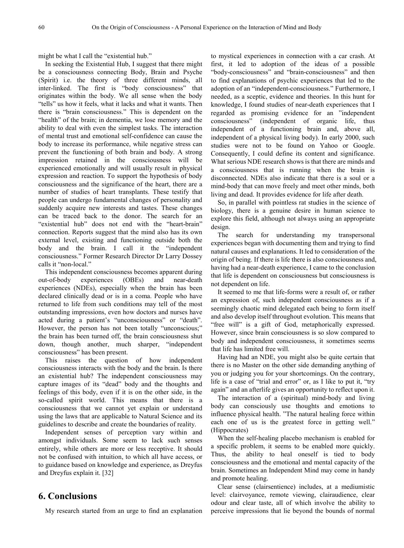might be what I call the "existential hub."

In seeking the Existential Hub, I suggest that there might be a consciousness connecting Body, Brain and Psyche (Spirit) i.e. the theory of three different minds, all inter-linked. The first is "body consciousness" that originates within the body. We all sense when the body "tells" us how it feels, what it lacks and what it wants. Then there is "brain consciousness." This is dependent on the "health" of the brain; in dementia, we lose memory and the ability to deal with even the simplest tasks. The interaction of mental trust and emotional self-confidence can cause the body to increase its performance, while negative stress can prevent the functioning of both brain and body. A strong impression retained in the consciousness will be experienced emotionally and will usually result in physical expression and reaction. To support the hypothesis of body consciousness and the significance of the heart, there are a number of studies of heart transplants. These testify that people can undergo fundamental changes of personality and suddenly acquire new interests and tastes. These changes can be traced back to the donor. The search for an "existential hub" does not end with the "heart-brain" connection. Reports suggest that the mind also has its own external level, existing and functioning outside both the body and the brain. I call it the "independent consciousness." Former Research Director Dr Larry Dossey calls it "non-local."

This independent consciousness becomes apparent during out-of-body experiences (OBEs) and near-death experiences (NDEs), especially when the brain has been declared clinically dead or is in a coma. People who have returned to life from such conditions may tell of the most outstanding impressions, even how doctors and nurses have acted during a patient's "unconsciousness" or "death". However, the person has not been totally "unconscious;" the brain has been turned off, the brain consciousness shut down, though another, much sharper, "independent consciousness" has been present.

This raises the question of how independent consciousness interacts with the body and the brain. Is there an existential hub? The independent consciousness may capture images of its "dead" body and the thoughts and feelings of this body, even if it is on the other side, in the so-called spirit world. This means that there is a consciousness that we cannot yet explain or understand using the laws that are applicable to Natural Science and its guidelines to describe and create the boundaries of reality.

Independent senses of perception vary within and amongst individuals. Some seem to lack such senses entirely, while others are more or less receptive. It should not be confused with intuition, to which all have access, or to guidance based on knowledge and experience, as Dreyfus and Dreyfus explain it. [32]

# **6. Conclusions**

My research started from an urge to find an explanation

to mystical experiences in connection with a car crash. At first, it led to adoption of the ideas of a possible "body-consciousness" and "brain-consciousness" and then to find explanations of psychic experiences that led to the adoption of an "independent-consciousness." Furthermore, I needed, as a sceptic, evidence and theories. In this hunt for knowledge, I found studies of near-death experiences that I regarded as promising evidence for an "independent consciousness" (independent of organic life, thus independent of a functioning brain and, above all, independent of a physical living body). In early 2000, such studies were not to be found on Yahoo or Google. Consequently, I could define its content and significance. What serious NDE research shows is that there are minds and a consciousness that is running when the brain is disconnected. NDEs also indicate that there is a soul or a mind-body that can move freely and meet other minds, both living and dead. It provides evidence for life after death.

So, in parallel with pointless rat studies in the science of biology, there is a genuine desire in human science to explore this field, although not always using an appropriate design.

The search for understanding my transpersonal experiences began with documenting them and trying to find natural causes and explanations. It led to consideration of the origin of being. If there is life there is also consciousness and, having had a near-death experience, I came to the conclusion that life is dependent on consciousness but consciousness is not dependent on life.

It seemed to me that life-forms were a result of, or rather an expression of, such independent consciousness as if a seemingly chaotic mind delegated each being to form itself and also develop itself throughout evolution. This means that "free will" is a gift of God, metaphorically expressed. However, since brain consciousness is so slow compared to body and independent consciousness, it sometimes seems that life has limited free will.

Having had an NDE, you might also be quite certain that there is no Master on the other side demanding anything of you or judging you for your shortcomings. On the contrary, life is a case of "trial and error" or, as I like to put it, "try again" and an afterlife gives an opportunity to reflect upon it.

The interaction of a (spiritual) mind-body and living body can consciously use thoughts and emotions to influence physical health. "The natural healing force within each one of us is the greatest force in getting well." (Hippocrates)

When the self-healing placebo mechanism is enabled for a specific problem, it seems to be enabled more quickly. Thus, the ability to heal oneself is tied to body consciousness and the emotional and mental capacity of the brain. Sometimes an Independent Mind may come in handy and promote healing.

Clear sense (clairsentience) includes, at a mediumistic level: clairvoyance, remote viewing, clairaudience, clear odour and clear taste, all of which involve the ability to perceive impressions that lie beyond the bounds of normal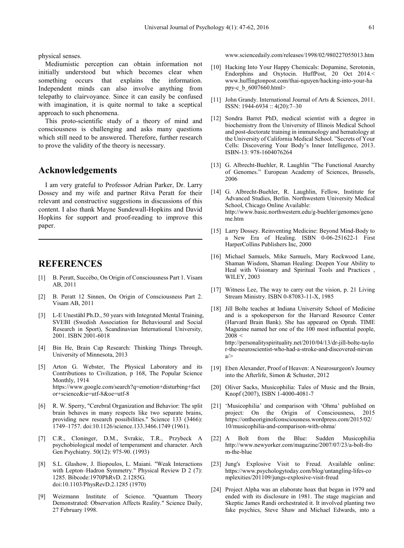physical senses.

Mediumistic perception can obtain information not initially understood but which becomes clear when something occurs that explains the information. Independent minds can also involve anything from telepathy to clairvoyance. Since it can easily be confused with imagination, it is quite normal to take a sceptical approach to such phenomena.

This proto-scientific study of a theory of mind and consciousness is challenging and asks many questions which still need to be answered. Therefore, further research to prove the validity of the theory is necessary.

# **Acknowledgements**

I am very grateful to Professor Adrian Parker, Dr. Larry Dossey and my wife and partner Ritva Peratt for their relevant and constructive suggestions in discussions of this content. I also thank Mayne Sundewall-Hopkins and David Hopkins for support and proof-reading to improve this paper.

# **REFERENCES**

- [1] B. Peratt, Succébo, On Origin of Consciousness Part 1. Visam AB, 2011
- [2] B. Peratt 12 Sinnen, On Origin of Consciousness Part 2. Visam AB, 2011
- [3] L-E Uneståhl Ph.D., 50 years with Integrated Mental Training, SVEBI (Swedish Association for Behavioural and Social Research in Sport), Scandinavian International University, 2001. ISBN 2001-6018
- [4] Bin He, Brain Cap Research: Thinking Things Through, University of Minnesota, 2013
- [5] Arton G. Webster, The Physical Laboratory and its Contributions to Civilization, p 168, The Popular Science Monthly, 1914 https://www.google.com/search?q=emotion+disturbing+fact or+science&ie=utf-8&oe=utf-8
- [6] R. W. Sperry, "Cerebral Organization and Behavior: The split brain behaves in many respects like two separate brains, providing new research possibilities." Science 133 (3466): 1749–1757. doi:10.1126/science.133.3466.1749 (1961).
- [7] C.R., Cloninger, D.M., Svrakic, T.R., Przybeck A psychobiological model of temperament and character. Arch Gen Psychiatry. 50(12): 975-90. (1993)
- [8] S.L. Glashow, J. Iliopoulos, L. Maiani. "Weak Interactions with Lepton–Hadron Symmetry." Physical Review D 2 (7): 1285. Bibcode:1970PhRvD. 2.1285G. doi:10.1103/PhysRevD.2.1285 (1970)
- [9] Weizmann Institute of Science. "Quantum Theory Demonstrated: Observation Affects Reality." Science Daily, 27 February 1998.

www.sciencedaily.com/releases/1998/02/980227055013.htm

- [10] Hacking Into Your Happy Chemicals: Dopamine, Serotonin, Endorphins and Oxytocin. HuffPost, 20 Oct 2014.< www.huffingtonpost.com/thai-nguyen/hacking-into-your-ha ppy-c\_b\_6007660.html>
- [11] John Grandy. International Journal of Arts & Sciences, 2011. ISSN: 1944-6934 :: 4(20):7–30
- [12] Sondra Barret PhD, medical scientist with a degree in biochemistry from the University of Illinois Medical School and post-doctorate training in immunology and hematology at the University of California Medical School. "Secrets of Your Cells: Discovering Your Body's Inner Intelligence, 2013. ISBN-13: 978-1604076264
- [13] G. Albrecht-Buehler, R. Laughlin "The Functional Anarchy of Genomes." European Academy of Sciences, Brussels, 2006
- [14] G. Albrecht-Buehler, R. Laughlin, Fellow, Institute for Advanced Studies, Berlin. Northwestern University Medical School, Chicago Online Available: http://www.basic.northwestern.edu/g-buehler/genomes/geno me.htm
- [15] Larry Dossey. Reinventing Medicine: Beyond Mind-Body to a New Era of Healing. ISBN 0-06-251622-1 First HarperCollins Publishers Inc, 2000
- [16] Michael Samuels, Mike Samuels, Mary Rockwood Lane, Shaman Wisdom, Shaman Healing: Deepen Your Ability to Heal with Visionary and Spiritual Tools and Practices , WILEY, 2003
- [17] Witness Lee, The way to carry out the vision, p. 21 Living Stream Ministry. ISBN 0-87083-11-X, 1985
- [18] Jill Bolte teaches at Indiana University School of Medicine and is a spokesperson for the Harvard Resource Center (Harvard Brain Bank). She has appeared on Oprah. TIME Magazine named her one of the 100 most influential people,  $2008 <$ http://personalityspirituality.net/2010/04/13/dr-jill-bolte-taylo r-the-neuroscientist-who-had-a-stroke-and-discovered-nirvan  $a$
- [19] Eben Alexander, Proof of Heaven: A Neurosurgeon's Journey into the Afterlife, Simon & Schuster, 2012
- [20] Oliver Sacks, Musicophilia: Tales of Music and the Brain, Knopf (2007), ISBN 1-4000-4081-7
- [21] 'Musicophilia' and comparison with 'Ohma' published on project: On the Origin of Consciousness, 2015 https://ontheoriginofconsciousness.wordpress.com/2015/02/ 10/musicophilia-and-comparison-with-ohma/
- [22] A Bolt from the Blue: Sudden Musicophilia http://www.newyorker.com/magazine/2007/07/23/a-bolt-fro m-the-blue
- [23] Jung's Explosive Visit to Freud. Available online: https://www.psychologytoday.com/blog/untangling-lifes-co mplexities/201109/jungs-explosive-visit-freud
- [24] Project Alpha was an elaborate hoax that began in 1979 and ended with its disclosure in 1981. The stage magician and Skeptic James Randi orchestrated it. It involved planting two fake psychics, Steve Shaw and Michael Edwards, into a